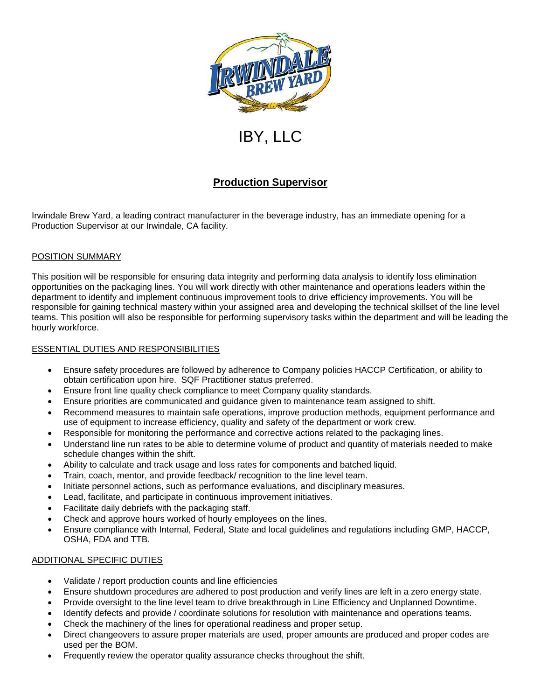

# IBY, LLC

# **Production Supervisor**

Irwindale Brew Yard, a leading contract manufacturer in the beverage industry, has an immediate opening for a Production Supervisor at our Irwindale, CA facility.

# POSITION SUMMARY

This position will be responsible for ensuring data integrity and performing data analysis to identify loss elimination opportunities on the packaging lines. You will work directly with other maintenance and operations leaders within the department to identify and implement continuous improvement tools to drive efficiency improvements. You will be responsible for gaining technical mastery within your assigned area and developing the technical skillset of the line level teams. This position will also be responsible for performing supervisory tasks within the department and will be leading the hourly workforce.

## ESSENTIAL DUTIES AND RESPONSIBILITIES

- Ensure safety procedures are followed by adherence to Company policies HACCP Certification, or ability to obtain certification upon hire. SQF Practitioner status preferred.
- Ensure front line quality check compliance to meet Company quality standards.
- Ensure priorities are communicated and guidance given to maintenance team assigned to shift.
- Recommend measures to maintain safe operations, improve production methods, equipment performance and use of equipment to increase efficiency, quality and safety of the department or work crew.
- Responsible for monitoring the performance and corrective actions related to the packaging lines.
- Understand line run rates to be able to determine volume of product and quantity of materials needed to make schedule changes within the shift.
- Ability to calculate and track usage and loss rates for components and batched liquid.
- Train, coach, mentor, and provide feedback/ recognition to the line level team.
- Initiate personnel actions, such as performance evaluations, and disciplinary measures.
- Lead, facilitate, and participate in continuous improvement initiatives.
- Facilitate daily debriefs with the packaging staff.
- Check and approve hours worked of hourly employees on the lines.
- Ensure compliance with Internal, Federal, State and local guidelines and regulations including GMP, HACCP, OSHA, FDA and TTB.

## ADDITIONAL SPECIFIC DUTIES

- Validate / report production counts and line efficiencies
- Ensure shutdown procedures are adhered to post production and verify lines are left in a zero energy state.
- Provide oversight to the line level team to drive breakthrough in Line Efficiency and Unplanned Downtime.
- Identify defects and provide / coordinate solutions for resolution with maintenance and operations teams.
- Check the machinery of the lines for operational readiness and proper setup.
- Direct changeovers to assure proper materials are used, proper amounts are produced and proper codes are used per the BOM.
- Frequently review the operator quality assurance checks throughout the shift.